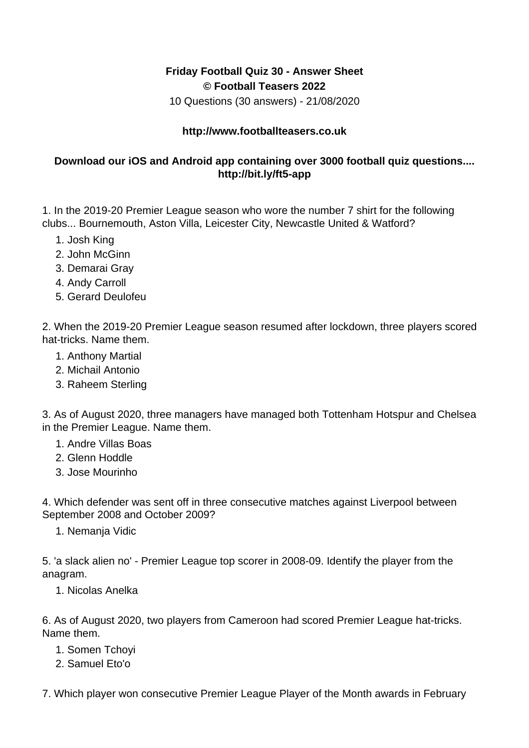## **Friday Football Quiz 30 - Answer Sheet © Football Teasers 2022**

10 Questions (30 answers) - 21/08/2020

## **http://www.footballteasers.co.uk**

## **Download our iOS and Android app containing over 3000 football quiz questions.... http://bit.ly/ft5-app**

1. In the 2019-20 Premier League season who wore the number 7 shirt for the following clubs... Bournemouth, Aston Villa, Leicester City, Newcastle United & Watford?

- 1. Josh King
- 2. John McGinn
- 3. Demarai Gray
- 4. Andy Carroll
- 5. Gerard Deulofeu

2. When the 2019-20 Premier League season resumed after lockdown, three players scored hat-tricks. Name them.

- 1. Anthony Martial
- 2. Michail Antonio
- 3. Raheem Sterling

3. As of August 2020, three managers have managed both Tottenham Hotspur and Chelsea in the Premier League. Name them.

- 1. Andre Villas Boas
- 2. Glenn Hoddle
- 3. Jose Mourinho

4. Which defender was sent off in three consecutive matches against Liverpool between September 2008 and October 2009?

1. Nemanja Vidic

5. 'a slack alien no' - Premier League top scorer in 2008-09. Identify the player from the anagram.

1. Nicolas Anelka

6. As of August 2020, two players from Cameroon had scored Premier League hat-tricks. Name them.

- 1. Somen Tchoyi
- 2. Samuel Eto'o

7. Which player won consecutive Premier League Player of the Month awards in February